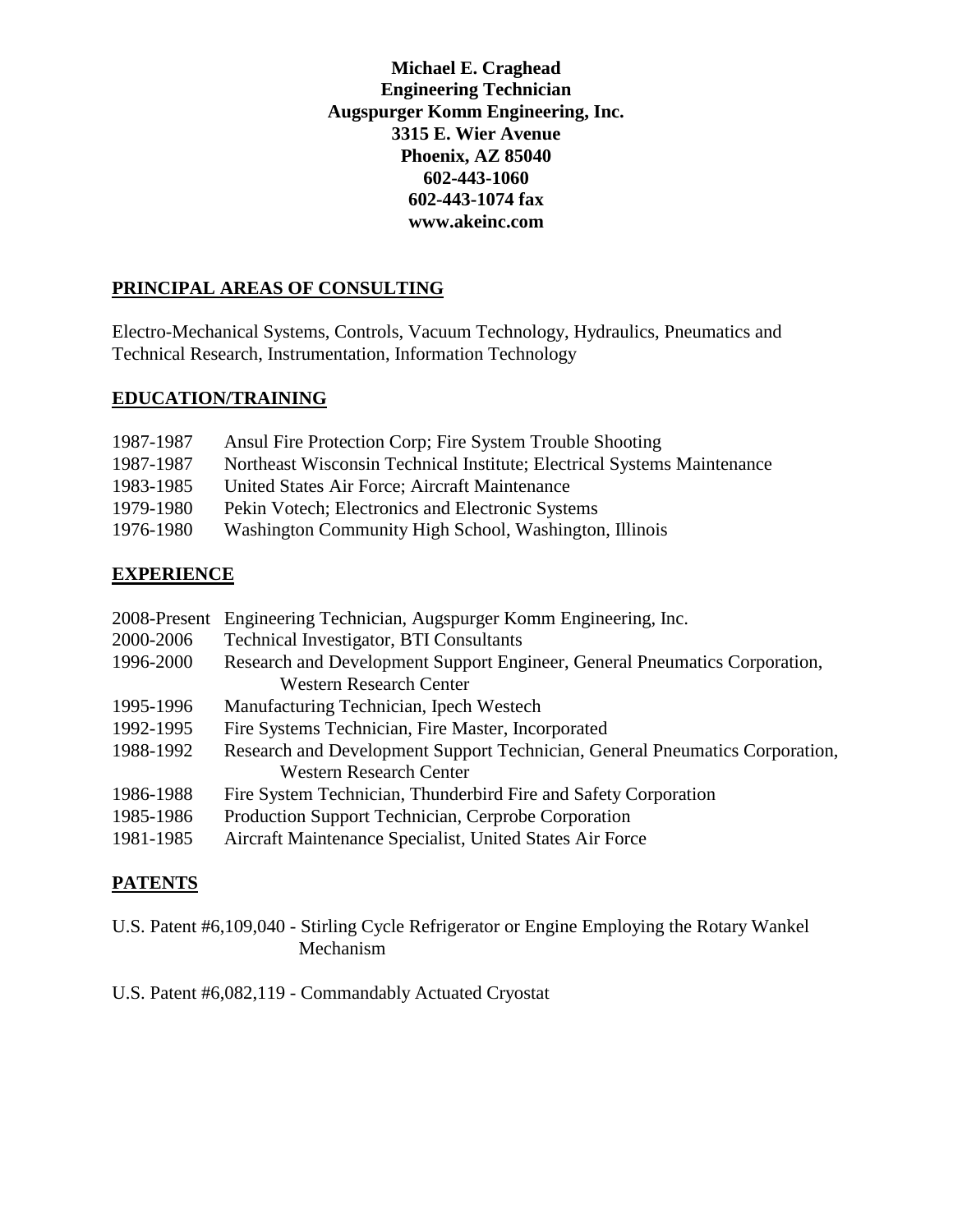**Michael E. Craghead Engineering Technician Augspurger Komm Engineering, Inc. 3315 E. Wier Avenue Phoenix, AZ 85040 602-443-1060 602-443-1074 fax www.akeinc.com**

### **PRINCIPAL AREAS OF CONSULTING**

Electro-Mechanical Systems, Controls, Vacuum Technology, Hydraulics, Pneumatics and Technical Research, Instrumentation, Information Technology

#### **EDUCATION/TRAINING**

| 1987-1987 | Ansul Fire Protection Corp; Fire System Trouble Shooting                |
|-----------|-------------------------------------------------------------------------|
| 1987-1987 | Northeast Wisconsin Technical Institute; Electrical Systems Maintenance |
| 1983-1985 | United States Air Force; Aircraft Maintenance                           |
| 1979-1980 | Pekin Votech; Electronics and Electronic Systems                        |
| 1976-1980 | Washington Community High School, Washington, Illinois                  |

# **EXPERIENCE**

| 2008-Present | Engineering Technician, Augspurger Komm Engineering, Inc.                    |
|--------------|------------------------------------------------------------------------------|
| 2000-2006    | <b>Technical Investigator, BTI Consultants</b>                               |
| 1996-2000    | Research and Development Support Engineer, General Pneumatics Corporation,   |
|              | <b>Western Research Center</b>                                               |
| 1995-1996    | Manufacturing Technician, Ipech Westech                                      |
| 1992-1995    | Fire Systems Technician, Fire Master, Incorporated                           |
| 1988-1992    | Research and Development Support Technician, General Pneumatics Corporation, |
|              | <b>Western Research Center</b>                                               |
| 1986-1988    | Fire System Technician, Thunderbird Fire and Safety Corporation              |
| 1985-1986    | Production Support Technician, Cerprobe Corporation                          |
| 1981-1985    | Aircraft Maintenance Specialist, United States Air Force                     |

## **PATENTS**

U.S. Patent #6,109,040 - Stirling Cycle Refrigerator or Engine Employing the Rotary Wankel Mechanism

U.S. Patent #6,082,119 - Commandably Actuated Cryostat